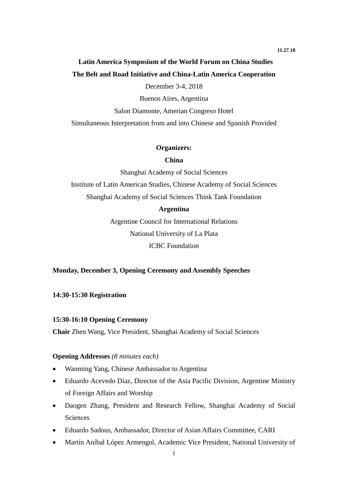# **Latin America Symposium of the World Forum on China Studies The Belt and Road Initiative and China-Latin America Cooperation**

December 3-4, 2018

Buenos Aires, Argentina

Salon Diamonte, Amerian Congreso Hotel

Simultaneous Interpretation from and into Chinese and Spanish Provided

#### **Organizers:**

#### **China**

Shanghai Academy of Social Sciences

Institute of Latin American Studies, Chinese Academy of Social Sciences Shanghai Academy of Social Sciences Think Tank Foundation

#### **Argentina**

Argentine Council for International Relations National University of La Plata ICBC Foundation

#### **Monday, December 3, Opening Ceremony and Assembly Speeches**

**14:30-15:30 Registration**

#### **15:30-16:10 Opening Ceremony**

**Chair** Zhen Wang, Vice President, Shanghai Academy of Social Sciences

### **Opening Addresses** *(8 minutes each)*

- Wanming Yang, Chinese Ambassador to Argentina
- Eduardo Acevedo Díaz, Director of the Asia Pacific Division, Argentine Ministry of Foreign Affairs and Worship
- Daogen Zhang, President and Research Fellow, Shanghai Academy of Social Sciences
- Eduardo Sadous, Ambassador, Director of Asian Affairs Committee, CARI
- Martín Aníbal López Armengol, Academic Vice President, National University of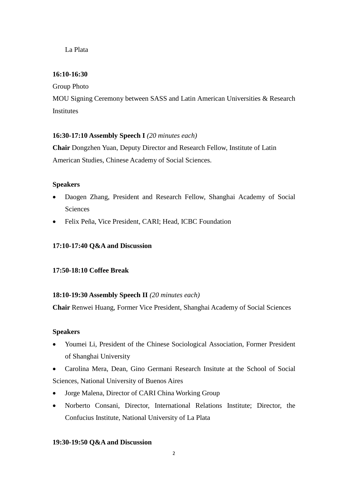La Plata

### **16:10-16:30**

Group Photo

MOU Signing Ceremony between SASS and Latin American Universities & Research Institutes

### **16:30-17:10 Assembly Speech I** *(20 minutes each)*

**Chair** Dongzhen Yuan, Deputy Director and Research Fellow, Institute of Latin American Studies, Chinese Academy of Social Sciences.

### **Speakers**

- Daogen Zhang, President and Research Fellow, Shanghai Academy of Social **Sciences**
- Felix Peña, Vice President, CARI; Head, ICBC Foundation

### **17:10-17:40 Q&A and Discussion**

### **17:50-18:10 Coffee Break**

### **18:10-19:30 Assembly Speech II** *(20 minutes each)*

**Chair** Renwei Huang, Former Vice President, Shanghai Academy of Social Sciences

### **Speakers**

- Youmei Li, President of the Chinese Sociological Association, Former President of Shanghai University
- Carolina Mera, Dean, Gino Germani Research Insitute at the School of Social Sciences, National University of Buenos Aires
- Jorge Malena, Director of CARI China Working Group
- Norberto Consani, Director, International Relations Institute; Director, the Confucius Institute, National University of La Plata

### **19:30-19:50 Q&A and Discussion**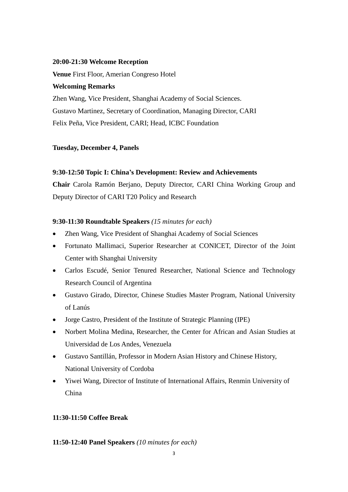#### **20:00-21:30 Welcome Reception**

**Venue** First Floor, Amerian Congreso Hotel

### **Welcoming Remarks**

Zhen Wang, Vice President, Shanghai Academy of Social Sciences. Gustavo Martinez, Secretary of Coordination, Managing Director, CARI Felix Peña, Vice President, CARI; Head, ICBC Foundation

### **Tuesday, December 4, Panels**

### **9:30-12:50 Topic I: China's Development: Review and Achievements**

**Chair** Carola Ramón Berjano, Deputy Director, CARI China Working Group and Deputy Director of CARI T20 Policy and Research

### **9:30-11:30 Roundtable Speakers** *(15 minutes for each)*

- Zhen Wang, Vice President of Shanghai Academy of Social Sciences
- Fortunato Mallimaci, Superior Researcher at CONICET, Director of the Joint Center with Shanghai University
- Carlos Escudé, Senior Tenured Researcher, National Science and Technology Research Council of Argentina
- Gustavo Girado, Director, Chinese Studies Master Program, National University of Lanús
- Jorge Castro, President of the Institute of Strategic Planning (IPE)
- Norbert Molina Medina, Researcher, the Center for African and Asian Studies at Universidad de Los Andes, Venezuela
- Gustavo Santillán, Professor in Modern Asian History and Chinese History, National University of Cordoba
- Yiwei Wang, Director of Institute of International Affairs, Renmin University of China

### **11:30-11:50 Coffee Break**

### **11:50-12:40 Panel Speakers** *(10 minutes for each)*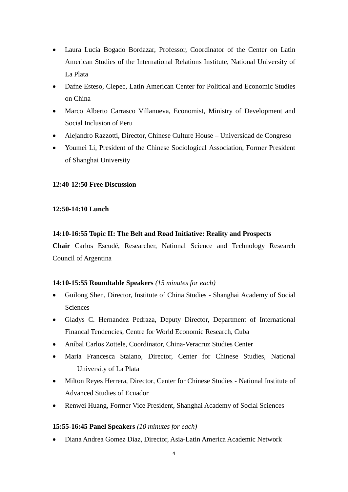- Laura Lucía Bogado Bordazar, Professor, Coordinator of the Center on Latin American Studies of the International Relations Institute, National University of La Plata
- Dafne Esteso, Clepec, Latin American Center for Political and Economic Studies on China
- Marco Alberto Carrasco Villanueva, Economist, Ministry of Development and Social Inclusion of Peru
- Alejandro Razzotti, Director, Chinese Culture House Universidad de Congreso
- Youmei Li, President of the Chinese Sociological Association, Former President of Shanghai University

### **12:40-12:50 Free Discussion**

### **12:50-14:10 Lunch**

### **14:10-16:55 Topic II: The Belt and Road Initiative: Reality and Prospects**

**Chair** Carlos Escudé, Researcher, National Science and Technology Research Council of Argentina

### **14:10-15:55 Roundtable Speakers** *(15 minutes for each)*

- Guilong Shen, Director, Institute of China Studies Shanghai Academy of Social Sciences
- Gladys C. Hernandez Pedraza, Deputy Director, Department of International Financal Tendencies, Centre for World Economic Research, Cuba
- Aníbal Carlos Zottele, Coordinator, China-Veracruz Studies Center
- Maria Francesca Staiano, Director, Center for Chinese Studies, National University of La Plata
- Milton Reyes Herrera, Director, Center for Chinese Studies National Institute of Advanced Studies of Ecuador
- Renwei Huang, Former Vice President, Shanghai Academy of Social Sciences

### **15:55-16:45 Panel Speakers** *(10 minutes for each)*

Diana Andrea Gomez Diaz, Director, Asia-Latin America Academic Network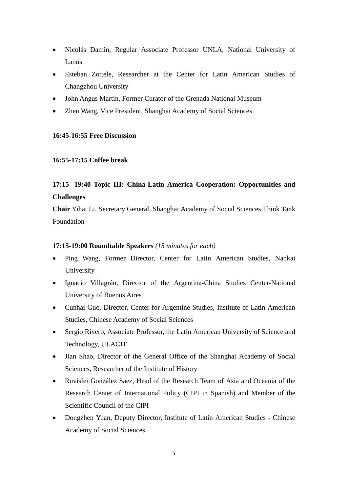- Nicolás Damin, Regular Associate Professor UNLA, National University of Lanús
- Esteban Zottele, Researcher at the Center for Latin American Studies of Changzhou University
- John Angus Martin, Former Curator of the Grenada National Museum
- Zhen Wang, Vice President, Shanghai Academy of Social Sciences

#### **16:45-16:55 Free Discussion**

#### **16:55-17:15 Coffee break**

## **17:15- 19:40 Topic III: China-Latin America Cooperation: Opportunities and Challenges**

**Chair** Yihai Li, Secretary General, Shanghai Academy of Social Sciences Think Tank Foundation

#### **17:15-19:00 Roundtable Speakers** *(15 minutes for each)*

- Ping Wang, Former Director, Center for Latin American Studies, Nankai University
- Ignacio Villagrán, Director of the Argentina-China Studies Center-National University of Buenos Aires
- Cunhai Guo, Director, Center for Argentine Studies, Institute of Latin American Studies, Chinese Academy of Social Sciences
- Sergio Rivero, Associate Professor, the Latin American University of Science and Technology, ULACIT
- Jian Shao, Director of the General Office of the Shanghai Academy of Social Sciences, Researcher of the Institute of History
- Ruvislei González Saez, Head of the Research Team of Asia and Oceania of the Research Center of International Policy (CIPI in Spanish) and Member of the Scientific Council of the CIPI
- Dongzhen Yuan, Deputy Director, Institute of Latin American Studies Chinese Academy of Social Sciences.